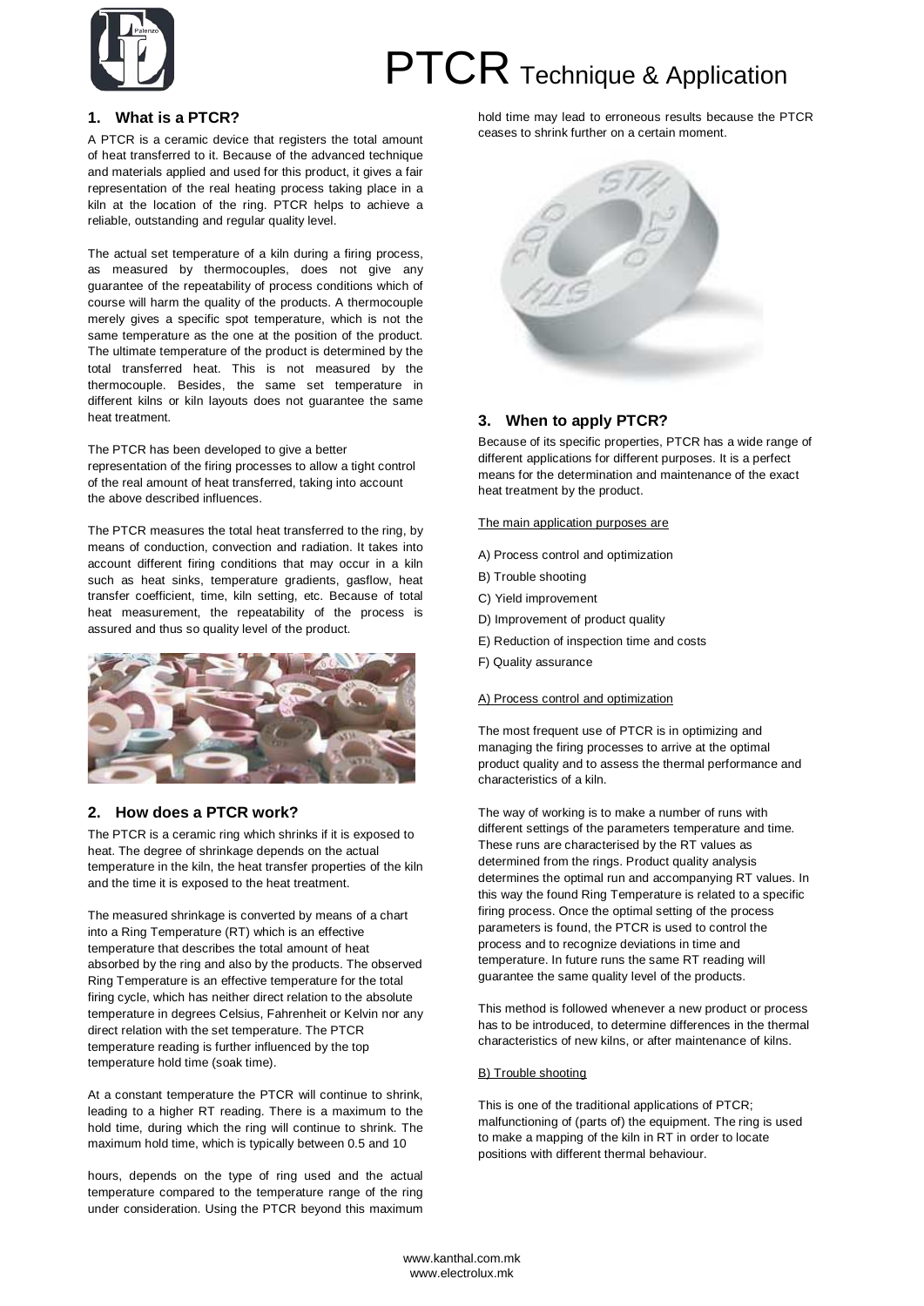

# PTCR Technique & Application

# **1. What is a PTCR?**

A PTCR is a ceramic device that registers the total amount of heat transferred to it. Because of the advanced technique and materials applied and used for this product, it gives a fair representation of the real heating process taking place in a kiln at the location of the ring. PTCR helps to achieve a reliable, outstanding and regular quality level.

The actual set temperature of a kiln during a firing process, as measured by thermocouples, does not give any guarantee of the repeatability of process conditions which of course will harm the quality of the products. A thermocouple merely gives a specific spot temperature, which is not the same temperature as the one at the position of the product. The ultimate temperature of the product is determined by the total transferred heat. This is not measured by the thermocouple. Besides, the same set temperature in different kilns or kiln layouts does not guarantee the same heat treatment.

The PTCR has been developed to give a better representation of the firing processes to allow a tight control

of the real amount of heat transferred, taking into account the above described influences.

The PTCR measures the total heat transferred to the ring, by means of conduction, convection and radiation. It takes into account different firing conditions that may occur in a kiln such as heat sinks, temperature gradients, gasflow, heat transfer coefficient, time, kiln setting, etc. Because of total heat measurement, the repeatability of the process is assured and thus so quality level of the product.



# **2. How does a PTCR work?**

The PTCR is a ceramic ring which shrinks if it is exposed to heat. The degree of shrinkage depends on the actual temperature in the kiln, the heat transfer properties of the kiln and the time it is exposed to the heat treatment.

The measured shrinkage is converted by means of a chart into a Ring Temperature (RT) which is an effective temperature that describes the total amount of heat absorbed by the ring and also by the products. The observed Ring Temperature is an effective temperature for the total firing cycle, which has neither direct relation to the absolute temperature in degrees Celsius, Fahrenheit or Kelvin nor any direct relation with the set temperature. The PTCR temperature reading is further influenced by the top temperature hold time (soak time).

At a constant temperature the PTCR will continue to shrink, leading to a higher RT reading. There is a maximum to the hold time, during which the ring will continue to shrink. The maximum hold time, which is typically between 0.5 and 10

hours, depends on the type of ring used and the actual temperature compared to the temperature range of the ring under consideration. Using the PTCR beyond this maximum hold time may lead to erroneous results because the PTCR ceases to shrink further on a certain moment.



# **3. When to apply PTCR?**

Because of its specific properties, PTCR has a wide range of different applications for different purposes. It is a perfect means for the determination and maintenance of the exact heat treatment by the product.

The main application purposes are

- A) Process control and optimization
- B) Trouble shooting
- C) Yield improvement
- D) Improvement of product quality
- E) Reduction of inspection time and costs
- F) Quality assurance

## A) Process control and optimization

The most frequent use of PTCR is in optimizing and managing the firing processes to arrive at the optimal product quality and to assess the thermal performance and characteristics of a kiln.

The way of working is to make a number of runs with different settings of the parameters temperature and time. These runs are characterised by the RT values as determined from the rings. Product quality analysis determines the optimal run and accompanying RT values. In this way the found Ring Temperature is related to a specific firing process. Once the optimal setting of the process parameters is found, the PTCR is used to control the process and to recognize deviations in time and temperature. In future runs the same RT reading will guarantee the same quality level of the products.

This method is followed whenever a new product or process has to be introduced, to determine differences in the thermal characteristics of new kilns, or after maintenance of kilns.

## B) Trouble shooting

This is one of the traditional applications of PTCR; malfunctioning of (parts of) the equipment. The ring is used to make a mapping of the kiln in RT in order to locate positions with different thermal behaviour.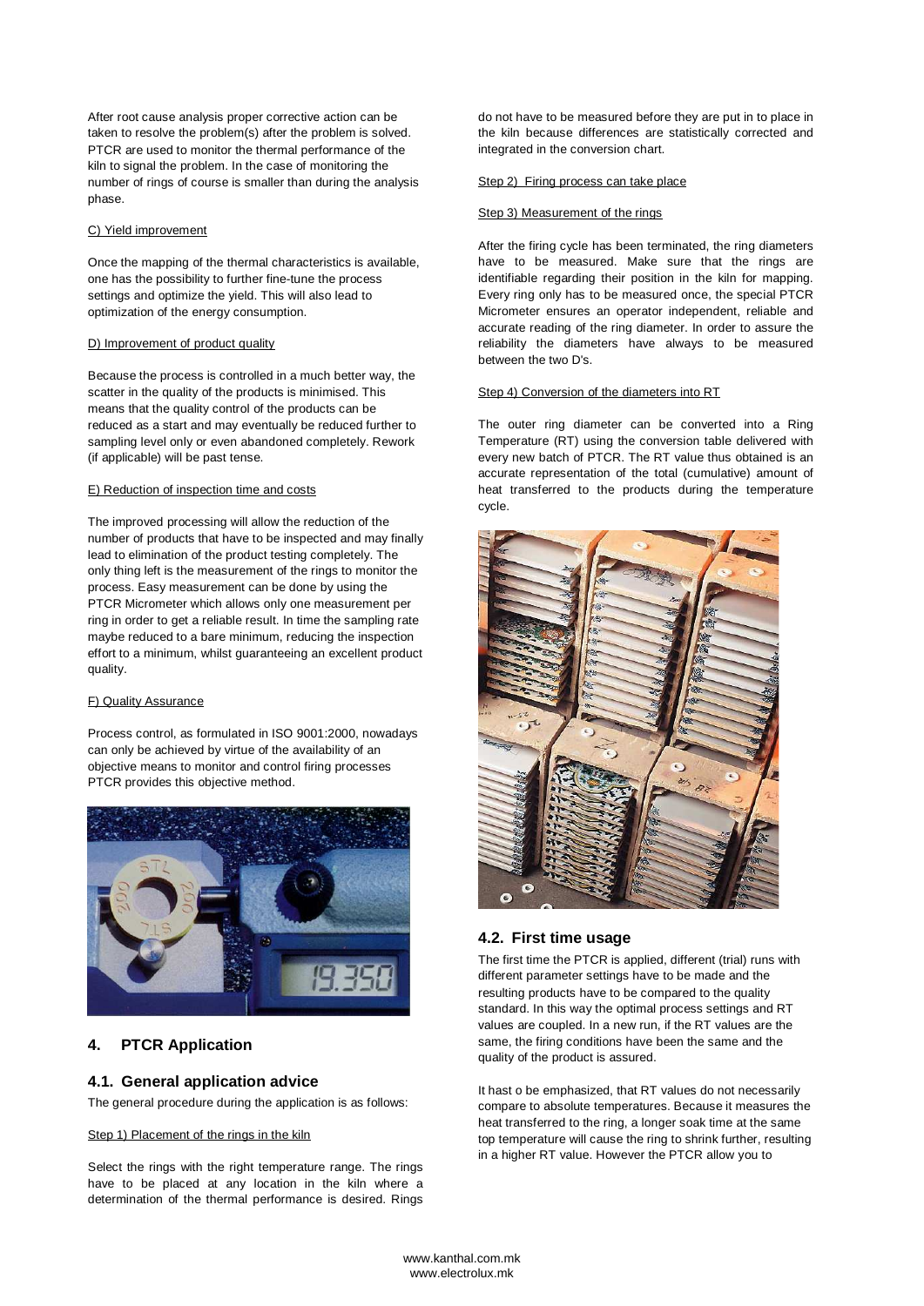After root cause analysis proper corrective action can be taken to resolve the problem(s) after the problem is solved. PTCR are used to monitor the thermal performance of the kiln to signal the problem. In the case of monitoring the number of rings of course is smaller than during the analysis phase.

## C) Yield improvement

Once the mapping of the thermal characteristics is available, one has the possibility to further fine-tune the process settings and optimize the yield. This will also lead to optimization of the energy consumption.

#### D) Improvement of product quality

Because the process is controlled in a much better way, the scatter in the quality of the products is minimised. This means that the quality control of the products can be reduced as a start and may eventually be reduced further to sampling level only or even abandoned completely. Rework (if applicable) will be past tense.

## E) Reduction of inspection time and costs

The improved processing will allow the reduction of the number of products that have to be inspected and may finally lead to elimination of the product testing completely. The only thing left is the measurement of the rings to monitor the process. Easy measurement can be done by using the PTCR Micrometer which allows only one measurement per ring in order to get a reliable result. In time the sampling rate maybe reduced to a bare minimum, reducing the inspection effort to a minimum, whilst guaranteeing an excellent product quality.

## F) Quality Assurance

Process control, as formulated in ISO 9001:2000, nowadays can only be achieved by virtue of the availability of an objective means to monitor and control firing processes PTCR provides this objective method.



# **4. PTCR Application**

## **4.1. General application advice**

The general procedure during the application is as follows:

#### Step 1) Placement of the rings in the kiln

Select the rings with the right temperature range. The rings have to be placed at any location in the kiln where a determination of the thermal performance is desired. Rings do not have to be measured before they are put in to place in the kiln because differences are statistically corrected and integrated in the conversion chart.

#### Step 2) Firing process can take place

## Step 3) Measurement of the rings

After the firing cycle has been terminated, the ring diameters have to be measured. Make sure that the rings are identifiable regarding their position in the kiln for mapping. Every ring only has to be measured once, the special PTCR Micrometer ensures an operator independent, reliable and accurate reading of the ring diameter. In order to assure the reliability the diameters have always to be measured between the two D's.

#### Step 4) Conversion of the diameters into RT

The outer ring diameter can be converted into a Ring Temperature (RT) using the conversion table delivered with every new batch of PTCR. The RT value thus obtained is an accurate representation of the total (cumulative) amount of heat transferred to the products during the temperature cycle.



# **4.2. First time usage**

The first time the PTCR is applied, different (trial) runs with different parameter settings have to be made and the resulting products have to be compared to the quality standard. In this way the optimal process settings and RT values are coupled. In a new run, if the RT values are the same, the firing conditions have been the same and the quality of the product is assured.

It hast o be emphasized, that RT values do not necessarily compare to absolute temperatures. Because it measures the heat transferred to the ring, a longer soak time at the same top temperature will cause the ring to shrink further, resulting in a higher RT value. However the PTCR allow you to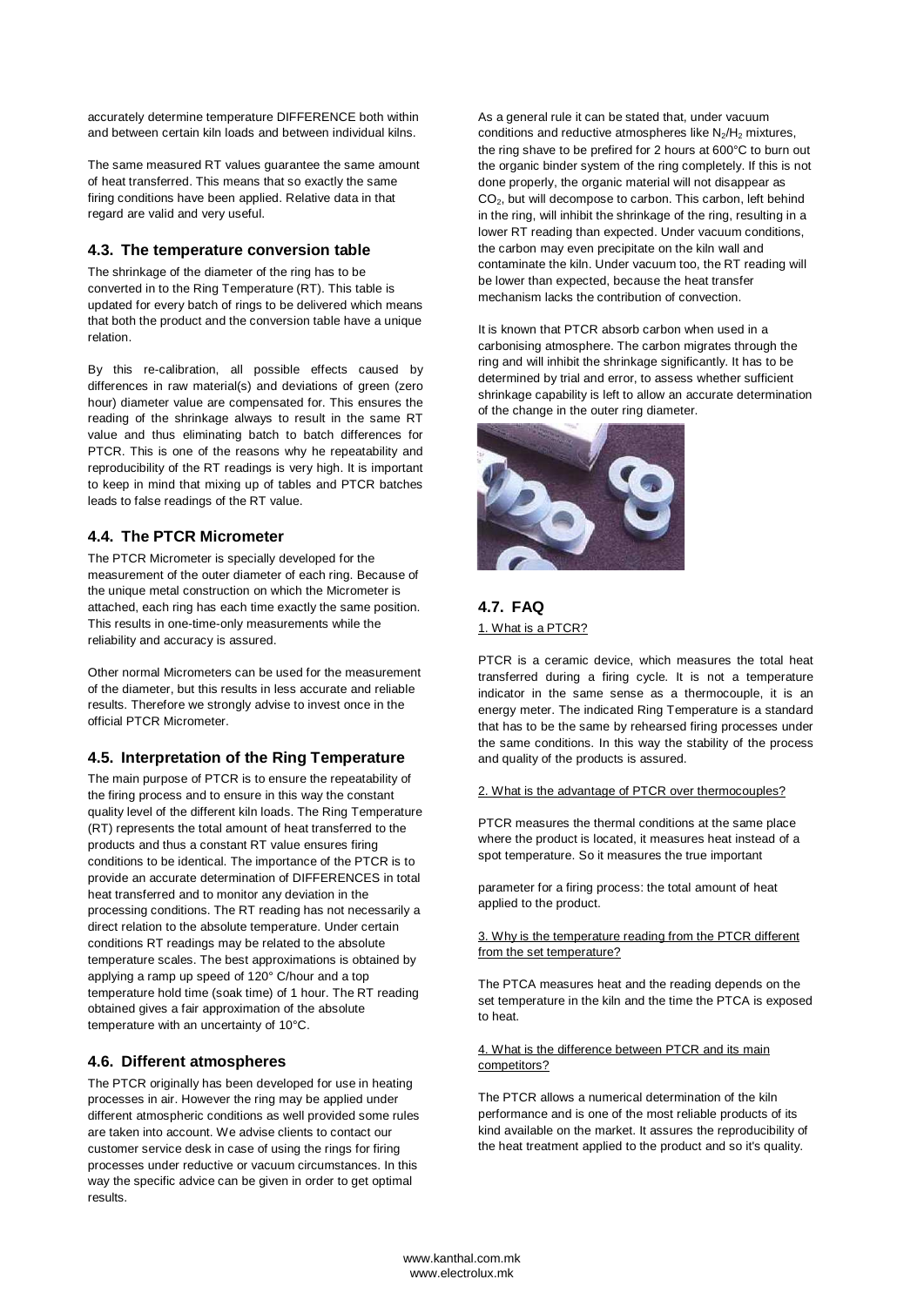accurately determine temperature DIFFERENCE both within and between certain kiln loads and between individual kilns.

The same measured RT values guarantee the same amount of heat transferred. This means that so exactly the same firing conditions have been applied. Relative data in that regard are valid and very useful.

# **4.3. The temperature conversion table**

The shrinkage of the diameter of the ring has to be converted in to the Ring Temperature (RT). This table is updated for every batch of rings to be delivered which means that both the product and the conversion table have a unique relation.

By this re-calibration, all possible effects caused by differences in raw material(s) and deviations of green (zero hour) diameter value are compensated for. This ensures the reading of the shrinkage always to result in the same RT value and thus eliminating batch to batch differences for PTCR. This is one of the reasons why he repeatability and reproducibility of the RT readings is very high. It is important to keep in mind that mixing up of tables and PTCR batches leads to false readings of the RT value.

# **4.4. The PTCR Micrometer**

The PTCR Micrometer is specially developed for the measurement of the outer diameter of each ring. Because of the unique metal construction on which the Micrometer is attached, each ring has each time exactly the same position. This results in one-time-only measurements while the reliability and accuracy is assured.

Other normal Micrometers can be used for the measurement of the diameter, but this results in less accurate and reliable results. Therefore we strongly advise to invest once in the official PTCR Micrometer.

# **4.5. Interpretation of the Ring Temperature**

The main purpose of PTCR is to ensure the repeatability of the firing process and to ensure in this way the constant quality level of the different kiln loads. The Ring Temperature (RT) represents the total amount of heat transferred to the products and thus a constant RT value ensures firing conditions to be identical. The importance of the PTCR is to provide an accurate determination of DIFFERENCES in total heat transferred and to monitor any deviation in the processing conditions. The RT reading has not necessarily a direct relation to the absolute temperature. Under certain conditions RT readings may be related to the absolute temperature scales. The best approximations is obtained by applying a ramp up speed of 120° C/hour and a top temperature hold time (soak time) of 1 hour. The RT reading obtained gives a fair approximation of the absolute temperature with an uncertainty of 10°C.

## **4.6. Different atmospheres**

The PTCR originally has been developed for use in heating processes in air. However the ring may be applied under different atmospheric conditions as well provided some rules are taken into account. We advise clients to contact our customer service desk in case of using the rings for firing processes under reductive or vacuum circumstances. In this way the specific advice can be given in order to get optimal results.

As a general rule it can be stated that, under vacuum conditions and reductive atmospheres like  $N_2/H_2$  mixtures, the ring shave to be prefired for 2 hours at 600°C to burn out the organic binder system of the ring completely. If this is not done properly, the organic material will not disappear as CO2, but will decompose to carbon. This carbon, left behind in the ring, will inhibit the shrinkage of the ring, resulting in a lower RT reading than expected. Under vacuum conditions, the carbon may even precipitate on the kiln wall and contaminate the kiln. Under vacuum too, the RT reading will be lower than expected, because the heat transfer mechanism lacks the contribution of convection.

It is known that PTCR absorb carbon when used in a carbonising atmosphere. The carbon migrates through the ring and will inhibit the shrinkage significantly. It has to be determined by trial and error, to assess whether sufficient shrinkage capability is left to allow an accurate determination of the change in the outer ring diameter.



# **4.7. FAQ**  1. What is a PTCR?

PTCR is a ceramic device, which measures the total heat transferred during a firing cycle. It is not a temperature indicator in the same sense as a thermocouple, it is an energy meter. The indicated Ring Temperature is a standard that has to be the same by rehearsed firing processes under the same conditions. In this way the stability of the process and quality of the products is assured.

#### 2. What is the advantage of PTCR over thermocouples?

PTCR measures the thermal conditions at the same place where the product is located, it measures heat instead of a spot temperature. So it measures the true important

parameter for a firing process: the total amount of heat applied to the product.

#### 3. Why is the temperature reading from the PTCR different from the set temperature?

The PTCA measures heat and the reading depends on the set temperature in the kiln and the time the PTCA is exposed to heat.

# 4. What is the difference between PTCR and its main competitors?

The PTCR allows a numerical determination of the kiln performance and is one of the most reliable products of its kind available on the market. It assures the reproducibility of the heat treatment applied to the product and so it's quality.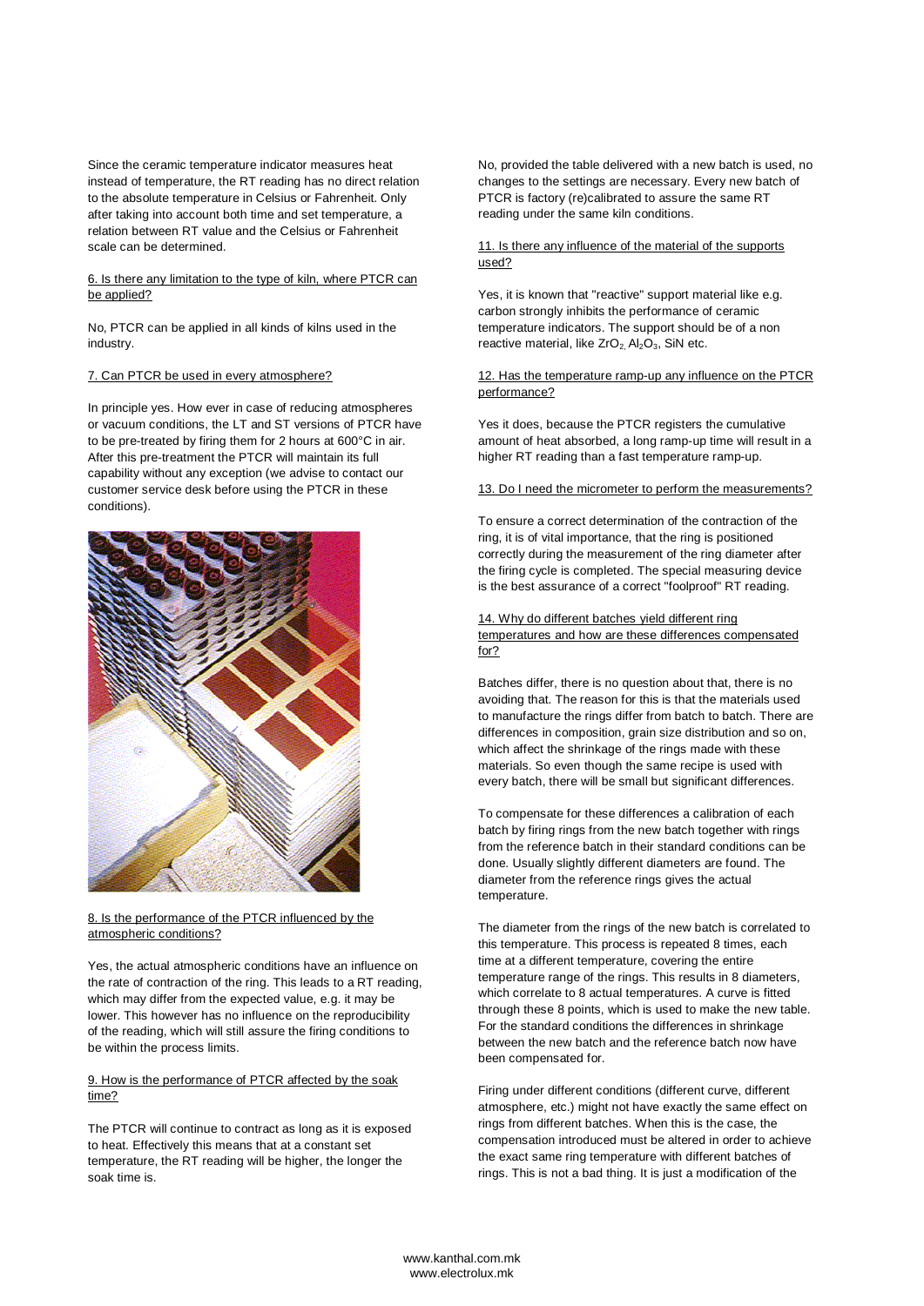Since the ceramic temperature indicator measures heat instead of temperature, the RT reading has no direct relation to the absolute temperature in Celsius or Fahrenheit. Only after taking into account both time and set temperature, a relation between RT value and the Celsius or Fahrenheit scale can be determined.

## 6. Is there any limitation to the type of kiln, where PTCR can be applied?

No, PTCR can be applied in all kinds of kilns used in the industry.

# 7. Can PTCR be used in every atmosphere?

In principle yes. How ever in case of reducing atmospheres or vacuum conditions, the LT and ST versions of PTCR have to be pre-treated by firing them for 2 hours at 600°C in air. After this pre-treatment the PTCR will maintain its full capability without any exception (we advise to contact our customer service desk before using the PTCR in these conditions).



8. Is the performance of the PTCR influenced by the atmospheric conditions?

Yes, the actual atmospheric conditions have an influence on the rate of contraction of the ring. This leads to a RT reading, which may differ from the expected value, e.g. it may be lower. This however has no influence on the reproducibility of the reading, which will still assure the firing conditions to be within the process limits.

#### 9. How is the performance of PTCR affected by the soak time?

The PTCR will continue to contract as long as it is exposed to heat. Effectively this means that at a constant set temperature, the RT reading will be higher, the longer the soak time is.

No, provided the table delivered with a new batch is used, no changes to the settings are necessary. Every new batch of PTCR is factory (re)calibrated to assure the same RT reading under the same kiln conditions.

## 11. Is there any influence of the material of the supports used?

Yes, it is known that "reactive" support material like e.g. carbon strongly inhibits the performance of ceramic temperature indicators. The support should be of a non reactive material, like  $ZrO<sub>2</sub>$ , Al<sub>2</sub>O<sub>3</sub>, SiN etc.

#### 12. Has the temperature ramp-up any influence on the PTCR performance?

Yes it does, because the PTCR registers the cumulative amount of heat absorbed, a long ramp-up time will result in a higher RT reading than a fast temperature ramp-up.

13. Do I need the micrometer to perform the measurements?

To ensure a correct determination of the contraction of the ring, it is of vital importance, that the ring is positioned correctly during the measurement of the ring diameter after the firing cycle is completed. The special measuring device is the best assurance of a correct "foolproof" RT reading.

## 14. Why do different batches yield different ring temperatures and how are these differences compensated for?

Batches differ, there is no question about that, there is no avoiding that. The reason for this is that the materials used to manufacture the rings differ from batch to batch. There are differences in composition, grain size distribution and so on, which affect the shrinkage of the rings made with these materials. So even though the same recipe is used with every batch, there will be small but significant differences.

To compensate for these differences a calibration of each batch by firing rings from the new batch together with rings from the reference batch in their standard conditions can be done. Usually slightly different diameters are found. The diameter from the reference rings gives the actual temperature.

The diameter from the rings of the new batch is correlated to this temperature. This process is repeated 8 times, each time at a different temperature, covering the entire temperature range of the rings. This results in 8 diameters, which correlate to 8 actual temperatures. A curve is fitted through these 8 points, which is used to make the new table. For the standard conditions the differences in shrinkage between the new batch and the reference batch now have been compensated for.

Firing under different conditions (different curve, different atmosphere, etc.) might not have exactly the same effect on rings from different batches. When this is the case, the compensation introduced must be altered in order to achieve the exact same ring temperature with different batches of rings. This is not a bad thing. It is just a modification of the